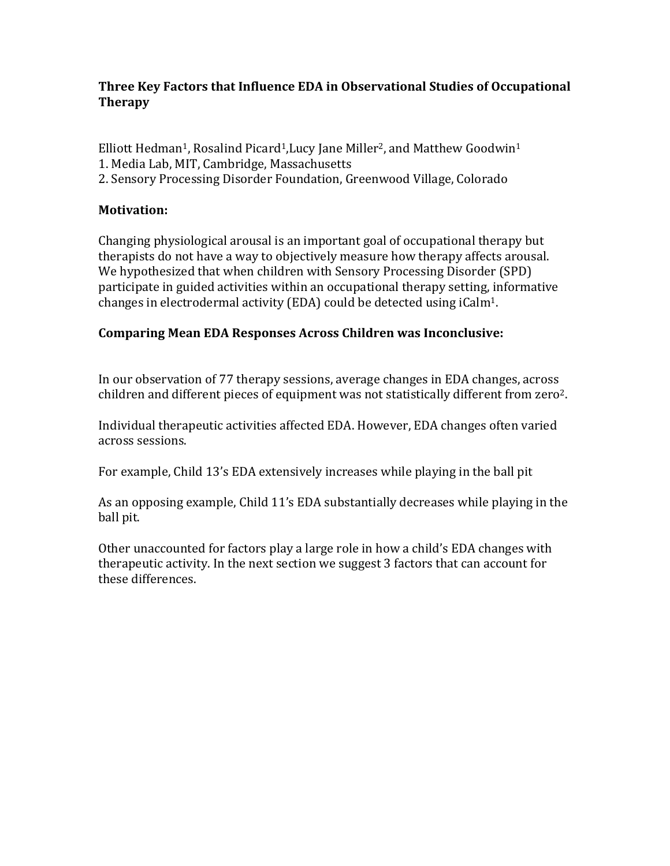# **Three Key Factors that Influence EDA in Observational Studies of Occupational Therapy**

Elliott Hedman<sup>1</sup>, Rosalind Picard<sup>1</sup>, Lucy Jane Miller<sup>2</sup>, and Matthew Goodwin<sup>1</sup> 1. Media Lab, MIT, Cambridge, Massachusetts 2. Sensory Processing Disorder Foundation, Greenwood Village, Colorado

### **Motivation:**

Changing physiological arousal is an important goal of occupational therapy but therapists do not have a way to objectively measure how therapy affects arousal. We hypothesized that when children with Sensory Processing Disorder (SPD) participate in guided activities within an occupational therapy setting, informative changes in electrodermal activity (EDA) could be detected using  $iCalm<sup>1</sup>$ .

### **Comparing Mean EDA Responses Across Children was Inconclusive:**

In our observation of 77 therapy sessions, average changes in EDA changes, across children and different pieces of equipment was not statistically different from zero<sup>2</sup>.

Individual therapeutic activities affected EDA. However, EDA changes often varied across sessions.

For example, Child 13's EDA extensively increases while playing in the ball pit

As an opposing example, Child 11's EDA substantially decreases while playing in the ball pit.

Other unaccounted for factors play a large role in how a child's EDA changes with therapeutic activity. In the next section we suggest 3 factors that can account for these differences.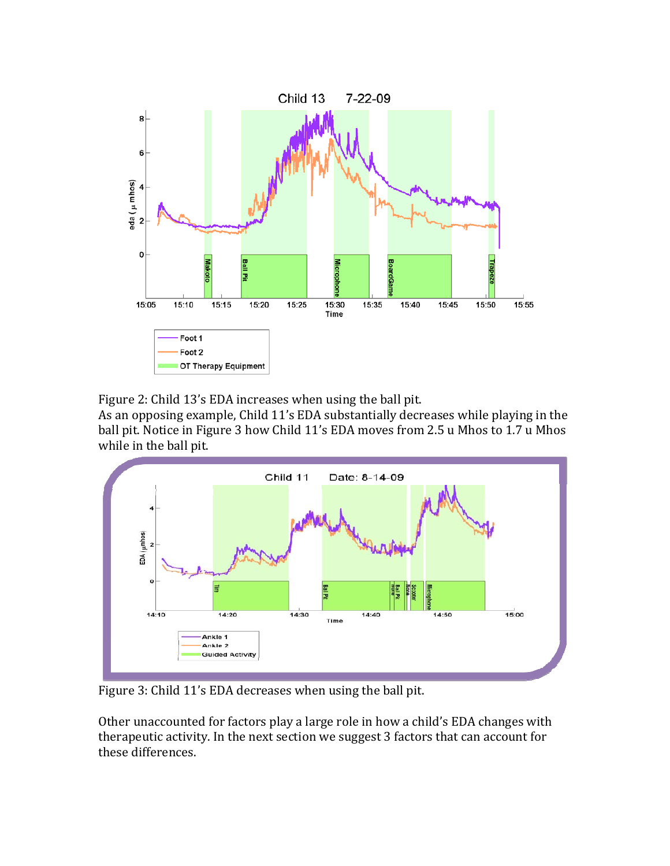

Figure 2: Child 13's EDA increases when using the ball pit.

As an opposing example, Child 11's EDA substantially decreases while playing in the ball pit. Notice in Figure 3 how Child 11's EDA moves from 2.5 u Mhos to 1.7 u Mhos while in the ball pit.



Figure 3: Child 11's EDA decreases when using the ball pit.

Other unaccounted for factors play a large role in how a child's EDA changes with therapeutic activity. In the next section we suggest 3 factors that can account for these differences.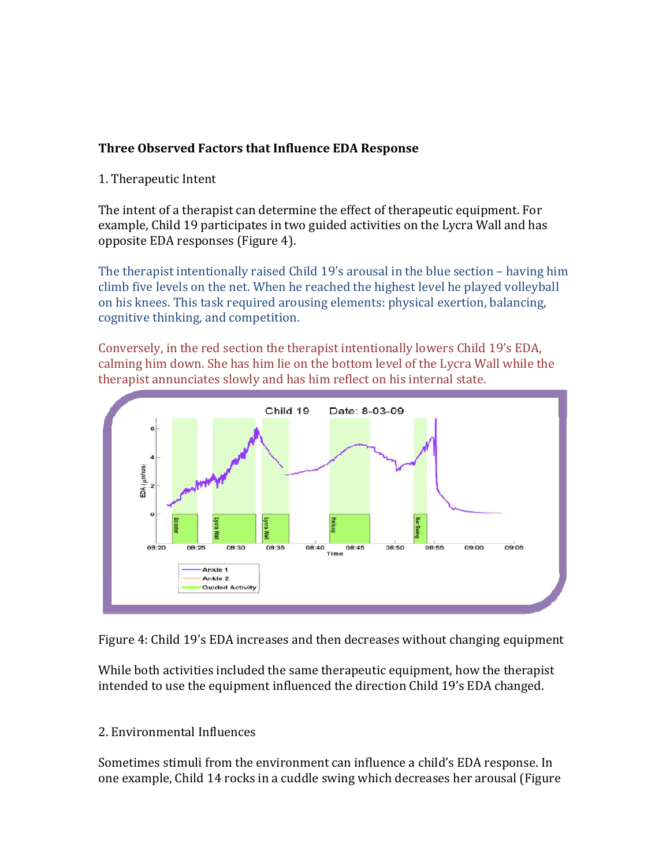### **Three Observed Factors that Influence EDA Response**

1. Therapeutic Intent

The intent of a therapist can determine the effect of therapeutic equipment. For example, Child 19 participates in two guided activities on the Lycra Wall and has opposite EDA responses (Figure 4).

The therapist intentionally raised Child  $19$ 's arousal in the blue section – having him climb five levels on the net. When he reached the highest level he played volleyball on his knees. This task required arousing elements: physical exertion, balancing, cognitive thinking, and competition.

Conversely, in the red section the therapist intentionally lowers Child 19's EDA, calming him down. She has him lie on the bottom level of the Lycra Wall while the therapist annunciates slowly and has him reflect on his internal state.



Figure 4: Child 19's EDA increases and then decreases without changing equipment

While both activities included the same therapeutic equipment, how the therapist intended to use the equipment influenced the direction Child 19's EDA changed.

# 2. Environmental Influences

Sometimes stimuli from the environment can influence a child's EDA response. In one example, Child 14 rocks in a cuddle swing which decreases her arousal (Figure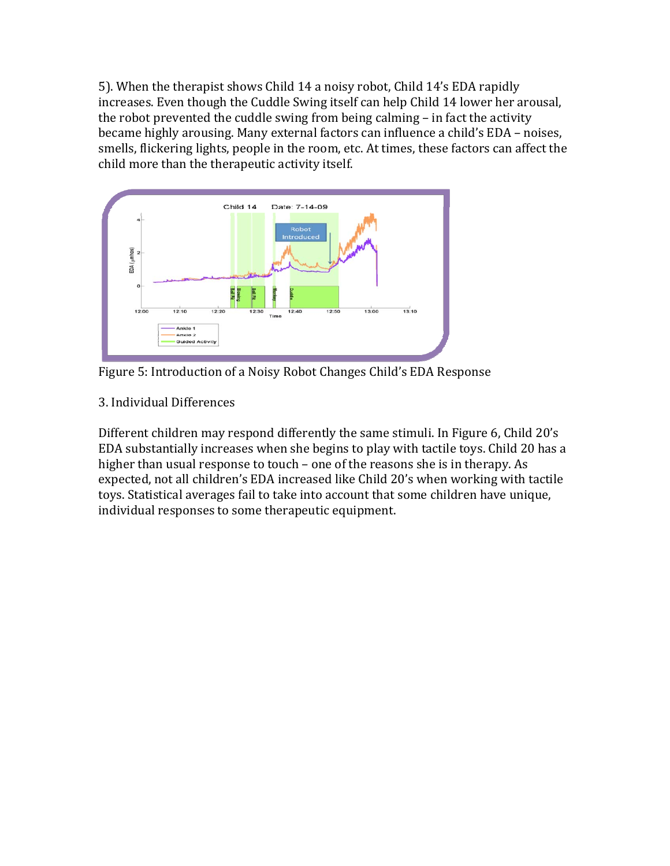5). When the therapist shows Child 14 a noisy robot, Child 14's EDA rapidly increases. Even though the Cuddle Swing itself can help Child 14 lower her arousal, the robot prevented the cuddle swing from being calming  $-$  in fact the activity became highly arousing. Many external factors can influence a child's EDA – noises, smells, flickering lights, people in the room, etc. At times, these factors can affect the child more than the therapeutic activity itself.



Figure 5: Introduction of a Noisy Robot Changes Child's EDA Response

3. Individual Differences 

Different children may respond differently the same stimuli. In Figure 6, Child 20's EDA substantially increases when she begins to play with tactile toys. Child 20 has a higher than usual response to touch – one of the reasons she is in therapy. As expected, not all children's EDA increased like Child 20's when working with tactile toys. Statistical averages fail to take into account that some children have unique, individual responses to some therapeutic equipment.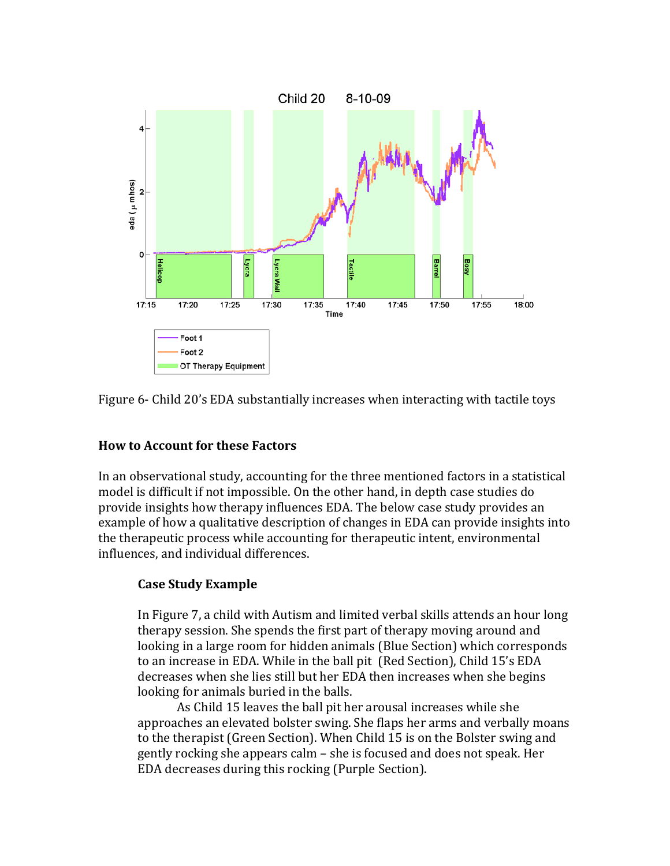

Figure 6- Child 20's EDA substantially increases when interacting with tactile toys

### **How to Account for these Factors**

In an observational study, accounting for the three mentioned factors in a statistical model is difficult if not impossible. On the other hand, in depth case studies do provide insights how therapy influences EDA. The below case study provides an example of how a qualitative description of changes in EDA can provide insights into the therapeutic process while accounting for therapeutic intent, environmental influences, and individual differences.

# **Case Study Example**

In Figure 7, a child with Autism and limited verbal skills attends an hour long therapy session. She spends the first part of therapy moving around and looking in a large room for hidden animals (Blue Section) which corresponds to an increase in EDA. While in the ball pit (Red Section), Child 15's EDA decreases when she lies still but her EDA then increases when she begins looking for animals buried in the balls.

As Child 15 leaves the ball pit her arousal increases while she approaches an elevated bolster swing. She flaps her arms and verbally moans to the therapist (Green Section). When Child 15 is on the Bolster swing and gently rocking she appears calm – she is focused and does not speak. Her EDA decreases during this rocking (Purple Section).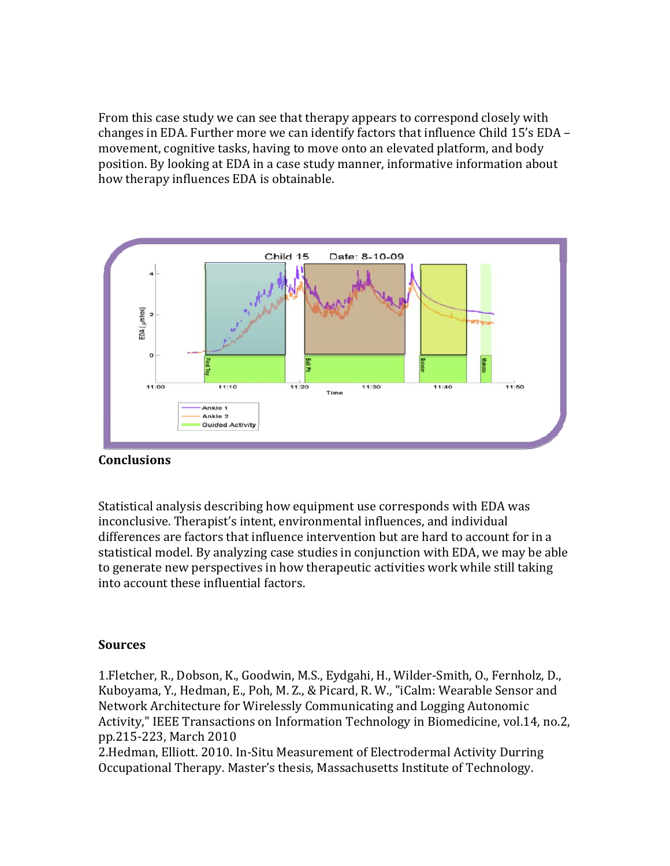From this case study we can see that therapy appears to correspond closely with changes in EDA. Further more we can identify factors that influence Child  $15$ 's EDA – movement, cognitive tasks, having to move onto an elevated platform, and body position. By looking at EDA in a case study manner, informative information about how therapy influences EDA is obtainable.



### **Conclusions**

Statistical analysis describing how equipment use corresponds with EDA was inconclusive. Therapist's intent, environmental influences, and individual differences are factors that influence intervention but are hard to account for in a statistical model. By analyzing case studies in conjunction with EDA, we may be able to generate new perspectives in how therapeutic activities work while still taking into account these influential factors.

### **Sources**

1. Fletcher, R., Dobson, K., Goodwin, M.S., Eydgahi, H., Wilder-Smith, O., Fernholz, D., Kuboyama, Y., Hedman, E., Poh, M. Z., & Picard, R. W., "iCalm: Wearable Sensor and Network Architecture for Wirelessly Communicating and Logging Autonomic Activity," IEEE Transactions on Information Technology in Biomedicine, vol.14, no.2, pp.215‐223, March 2010 

2.Hedman, Elliott. 2010. In-Situ Measurement of Electrodermal Activity Durring Occupational Therapy. Master's thesis, Massachusetts Institute of Technology.